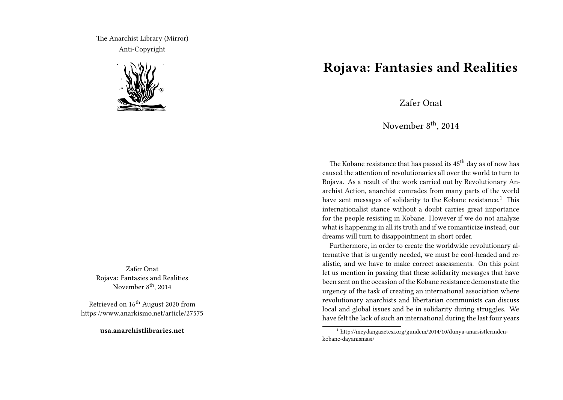The Anarchist Library (Mirror) Anti-Copyright



Zafer Onat Rojava: Fantasies and Realities November 8<sup>th</sup>, 2014

Retrieved on 16<sup>th</sup> August 2020 from https://www.anarkismo.net/article/27575

**usa.anarchistlibraries.net**

## **Rojava: Fantasies and Realities**

Zafer Onat

November 8<sup>th</sup>, 2014

The Kobane resistance that has passed its 45<sup>th</sup> day as of now has caused the attention of revolutionaries all over the world to turn to Rojava. As a result of the work carried out by Revolutionary Anarchist Action, anarchist comrades from many parts of the world have sent messages of solidarity to the Kobane resistance.<sup>1</sup> This internationalist stance without a doubt carries great importance for the people resisting in Kobane. However if we do not analyze what is happening in all its truth and if we romanticize instead, our dreams will turn to disappointment in short order.

Furthermore, in order to create the worldwide revolutionary alternative that is urgently needed, we must be cool-headed and realistic, and we have to make correct assessments. On this point let us mention in passing that these solidarity messages that have been sent on the occasion of the Kobane resistance demonstrate the urgency of the task of creating an international association where revolutionary anarchists and libertarian communists can discuss local and global issues and be in solidarity during struggles. We have felt the lack of such an international during the last four years

<sup>1</sup> http://meydangazetesi.org/gundem/2014/10/dunya-anarsistlerindenkobane-dayanismasi/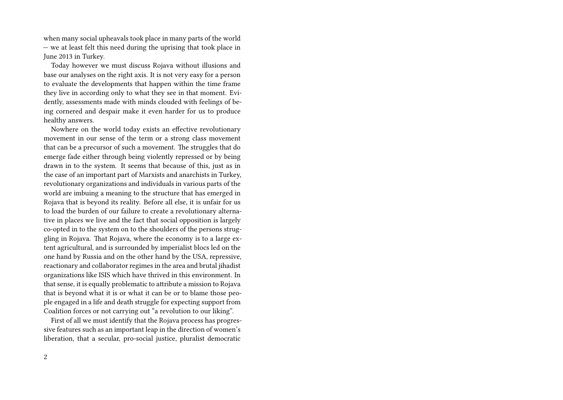when many social upheavals took place in many parts of the world — we at least felt this need during the uprising that took place in June 2013 in Turkey.

Today however we must discuss Rojava without illusions and base our analyses on the right axis. It is not very easy for a person to evaluate the developments that happen within the time frame they live in according only to what they see in that moment. Evidently, assessments made with minds clouded with feelings of being cornered and despair make it even harder for us to produce healthy answers.

Nowhere on the world today exists an effective revolutionary movement in our sense of the term or a strong class movement that can be a precursor of such a movement. The struggles that do emerge fade either through being violently repressed or by being drawn in to the system. It seems that because of this, just as in the case of an important part of Marxists and anarchists in Turkey, revolutionary organizations and individuals in various parts of the world are imbuing a meaning to the structure that has emerged in Rojava that is beyond its reality. Before all else, it is unfair for us to load the burden of our failure to create a revolutionary alternative in places we live and the fact that social opposition is largely co-opted in to the system on to the shoulders of the persons struggling in Rojava. That Rojava, where the economy is to a large extent agricultural, and is surrounded by imperialist blocs led on the one hand by Russia and on the other hand by the USA, repressive, reactionary and collaborator regimes in the area and brutal jihadist organizations like ISIS which have thrived in this environment. In that sense, it is equally problematic to attribute a mission to Rojava that is beyond what it is or what it can be or to blame those people engaged in a life and death struggle for expecting support from Coalition forces or not carrying out "a revolution to our liking".

First of all we must identify that the Rojava process has progressive features such as an important leap in the direction of women's liberation, that a secular, pro-social justice, pluralist democratic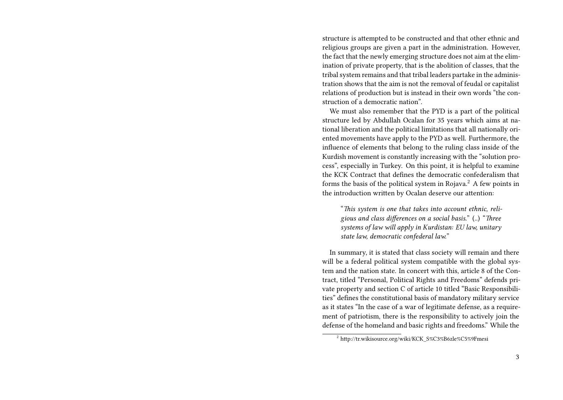structure is attempted to be constructed and that other ethnic and religious groups are given a part in the administration. However, the fact that the newly emerging structure does not aim at the elimination of private property, that is the abolition of classes, that the tribal system remains and that tribal leaders partake in the administration shows that the aim is not the removal of feudal or capitalist relations of production but is instead in their own words "the construction of a democratic nation".

We must also remember that the PYD is a part of the political structure led by Abdullah Ocalan for 35 years which aims at national liberation and the political limitations that all nationally oriented movements have apply to the PYD as well. Furthermore, the influence of elements that belong to the ruling class inside of the Kurdish movement is constantly increasing with the "solution process", especially in Turkey. On this point, it is helpful to examine the KCK Contract that defines the democratic confederalism that forms the basis of the political system in Rojava.<sup>2</sup> A few points in the introduction written by Ocalan deserve our attention:

"*This system is one that takes into account ethnic, religious and class differences on a social basis.*" (..) "*Three systems of law will apply in Kurdistan: EU law, unitary state law, democratic confederal law.*"

In summary, it is stated that class society will remain and there will be a federal political system compatible with the global system and the nation state. In concert with this, article 8 of the Contract, titled "Personal, Political Rights and Freedoms" defends private property and section C of article 10 titled "Basic Responsibilities" defines the constitutional basis of mandatory military service as it states "In the case of a war of legitimate defense, as a requirement of patriotism, there is the responsibility to actively join the defense of the homeland and basic rights and freedoms." While the

<sup>2</sup> http://tr.wikisource.org/wiki/KCK\_S%C3%B6zle%C5%9Fmesi